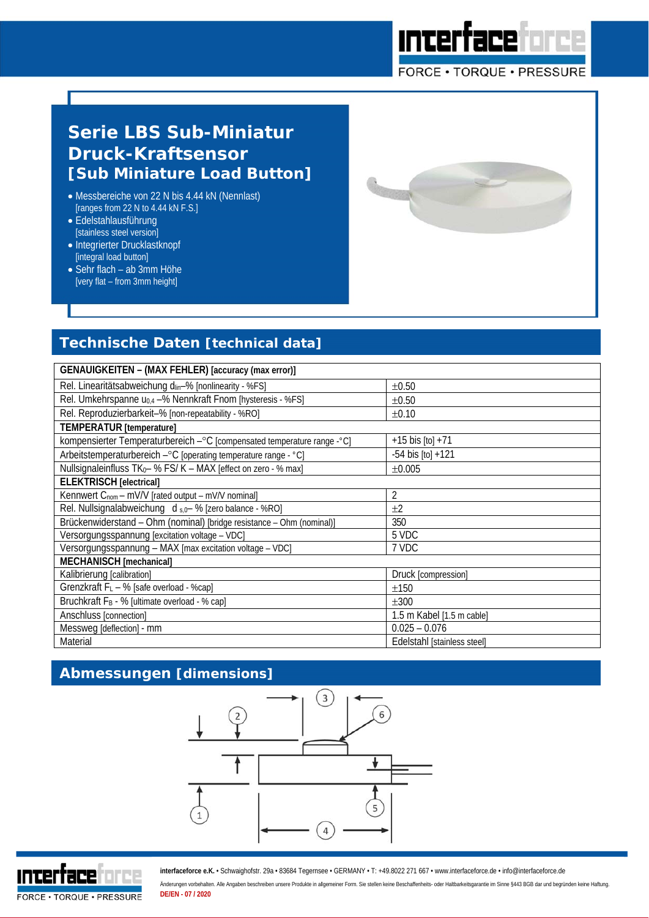# **Serie LBS Sub-Miniatur Druck-Kraftsensor [Sub Miniature Load Button]**

- Messbereiche von 22 N bis 4.44 kN (Nennlast) [ranges from 22 N to 4.44 kN F.S.]
- Edelstahlausführung [stainless steel version]
- Integrierter Drucklastknopf [integral load button]
- Sehr flach ab 3mm Höhe [very flat – from 3mm height]

## **Technische Daten [technical data]**

| GENAUIGKEITEN - (MAX FEHLER) [accuracy (max error)]                         |                             |  |  |  |  |  |
|-----------------------------------------------------------------------------|-----------------------------|--|--|--|--|--|
| Rel. Linearitätsabweichung din-% [nonlinearity - %FS]                       | $\pm 0.50$                  |  |  |  |  |  |
| Rel. Umkehrspanne u <sub>0,4</sub> -% Nennkraft Fnom [hysteresis - %FS]     | $\pm 0.50$                  |  |  |  |  |  |
| Rel. Reproduzierbarkeit-% [non-repeatability - %RO]                         | $\pm 0.10$                  |  |  |  |  |  |
| <b>TEMPERATUR</b> [temperature]                                             |                             |  |  |  |  |  |
| kompensierter Temperaturbereich - °C [compensated temperature range - °C]   | $+15$ bis [to] $+71$        |  |  |  |  |  |
| Arbeitstemperaturbereich - °C [operating temperature range - °C]            | $-54$ bis $[t0] + 121$      |  |  |  |  |  |
| Nullsignaleinfluss TK <sub>0</sub> - % FS/ K - MAX [effect on zero - % max] | ±0.005                      |  |  |  |  |  |
| <b>ELEKTRISCH</b> [electrical]                                              |                             |  |  |  |  |  |
| Kennwert $C_{\text{nom}} - mV/V$ [rated output – $mV/V$ nominal]            | $\overline{2}$              |  |  |  |  |  |
| Rel. Nullsignalabweichung d s, 0- % [zero balance - %RO]                    | ±2                          |  |  |  |  |  |
| Brückenwiderstand - Ohm (nominal) [bridge resistance - Ohm (nominal)]       | 350                         |  |  |  |  |  |
| Versorgungsspannung [excitation voltage - VDC]                              | 5 VDC                       |  |  |  |  |  |
| Versorgungsspannung - MAX [max excitation voltage - VDC]                    | 7 VDC                       |  |  |  |  |  |
| MECHANISCH [mechanical]                                                     |                             |  |  |  |  |  |
| Kalibrierung [calibration]                                                  | Druck [compression]         |  |  |  |  |  |
| Grenzkraft F <sub>L</sub> - % [safe overload - %cap]                        | ±150                        |  |  |  |  |  |
| Bruchkraft F <sub>B</sub> - % [ultimate overload - % cap]                   | $\pm 300$                   |  |  |  |  |  |
| Anschluss [connection]                                                      | 1.5 m Kabel [1.5 m cable]   |  |  |  |  |  |
| Messweg [deflection] - mm                                                   | $0.025 - 0.076$             |  |  |  |  |  |
| Material                                                                    | Edelstahl [stainless steel] |  |  |  |  |  |

<u>Interfaceforce</u>

FORCE . TORQUE . PRESSURE

## **Abmessungen [dimensions]**





**interfaceforce e.K.** • Schwaighofstr. 29a • 83684 Tegernsee • GERMANY • T: +49.8022 271 667 • www.interfaceforce.de • info@interfaceforce.de

Änderungen vorbehalten. Alle Angaben beschreiben unsere Produkte in allgemeiner Form. Sie stellen keine Beschaffenheits- oder Haltbarkeitsgarantie im Sinne §443 BGB dar und begründen keine Haftung. **DE/EN - 07 / 2020**